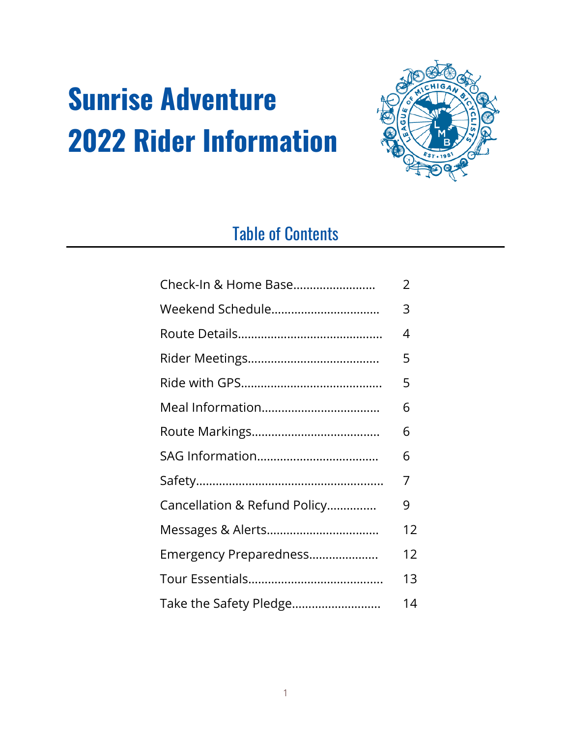# **Sunrise Adventure 2022 Rider Information**



# Table of Contents

| Check-In & Home Base         | 2  |
|------------------------------|----|
| Weekend Schedule             | 3  |
|                              | 4  |
|                              | 5  |
|                              | 5  |
|                              | 6  |
|                              | 6  |
|                              | 6  |
|                              | 7  |
| Cancellation & Refund Policy | 9  |
|                              | 12 |
| Emergency Preparedness       | 12 |
|                              | 13 |
| Take the Safety Pledge       | 14 |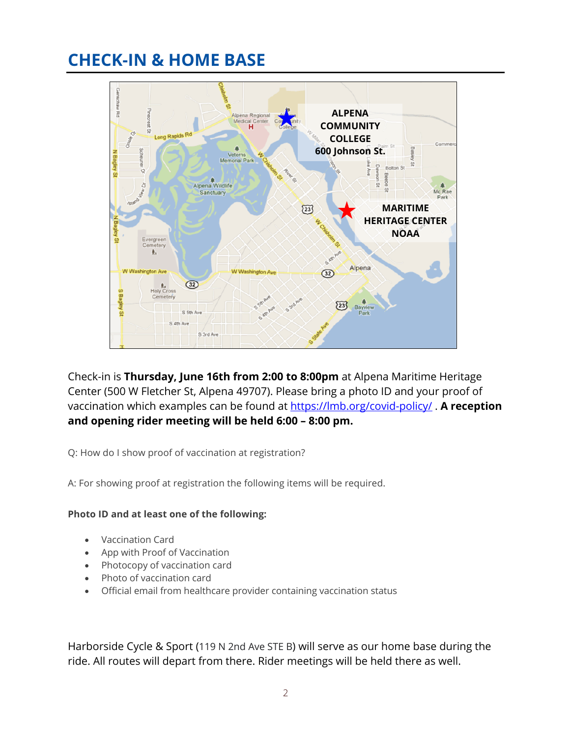# **CHECK-IN & HOME BASE**



Check-in is **Thursday, June 16th from 2:00 to 8:00pm** at Alpena Maritime Heritage Center (500 W Fletcher St, Alpena 49707). Please bring a photo ID and your proof of vaccination which examples can be found at https://lmb.org/covid-policy/ . **A reception and opening rider meeting will be held 6:00 – 8:00 pm.**

Q: How do I show proof of vaccination at registration?

A: For showing proof at registration the following items will be required.

### **Photo ID and at least one of the following:**

- Vaccination Card
- App with Proof of Vaccination
- Photocopy of vaccination card
- Photo of vaccination card
- Official email from healthcare provider containing vaccination status

Harborside Cycle & Sport (119 N 2nd Ave STE B) will serve as our home base during the ride. All routes will depart from there. Rider meetings will be held there as well.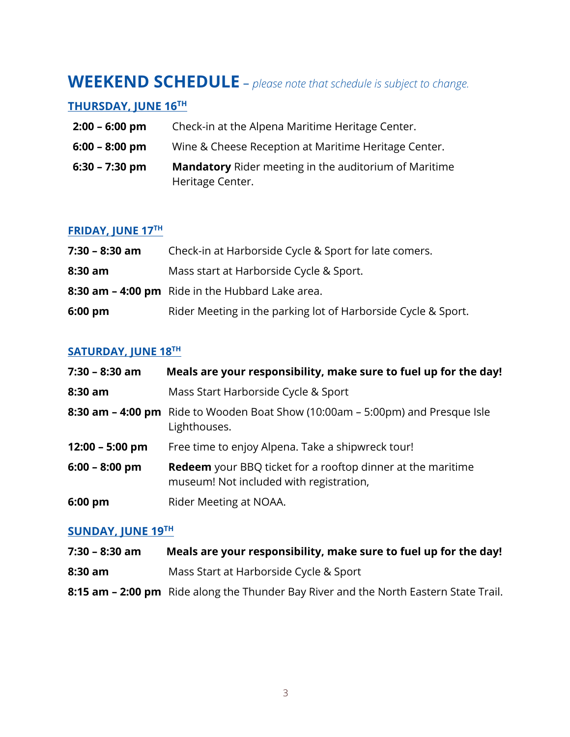### **WEEKEND SCHEDULE** – *please note that schedule is subject to change.*

### **THURSDAY, JUNE 16TH**

- **2:00 – 6:00 pm** Check-in at the Alpena Maritime Heritage Center.
- **6:00 – 8:00 pm** Wine & Cheese Reception at Maritime Heritage Center.
- **6:30 – 7:30 pm Mandatory** Rider meeting in the auditorium of Maritime Heritage Center.

### **FRIDAY, JUNE 17TH**

| $7:30 - 8:30$ am  | Check-in at Harborside Cycle & Sport for late comers.         |
|-------------------|---------------------------------------------------------------|
| $8:30$ am         | Mass start at Harborside Cycle & Sport.                       |
|                   | 8:30 am - 4:00 pm Ride in the Hubbard Lake area.              |
| $6:00 \text{ pm}$ | Rider Meeting in the parking lot of Harborside Cycle & Sport. |

### **SATURDAY, JUNE 18TH**

| $7:30 - 8:30$ am  | Meals are your responsibility, make sure to fuel up for the day!                                              |
|-------------------|---------------------------------------------------------------------------------------------------------------|
| 8:30 am           | Mass Start Harborside Cycle & Sport                                                                           |
|                   | 8:30 am - 4:00 pm Ride to Wooden Boat Show (10:00am - 5:00pm) and Presque Isle<br>Lighthouses.                |
| $12:00 - 5:00$ pm | Free time to enjoy Alpena. Take a shipwreck tour!                                                             |
| $6:00 - 8:00$ pm  | <b>Redeem</b> your BBQ ticket for a rooftop dinner at the maritime<br>museum! Not included with registration, |
| 6:00 pm           | Rider Meeting at NOAA.                                                                                        |

### **SUNDAY, JUNE 19TH**

| $7:30 - 8:30$ am | Meals are your responsibility, make sure to fuel up for the day!                      |
|------------------|---------------------------------------------------------------------------------------|
| $8:30$ am        | Mass Start at Harborside Cycle & Sport                                                |
|                  | 8:15 am – 2:00 pm Ride along the Thunder Bay River and the North Eastern State Trail. |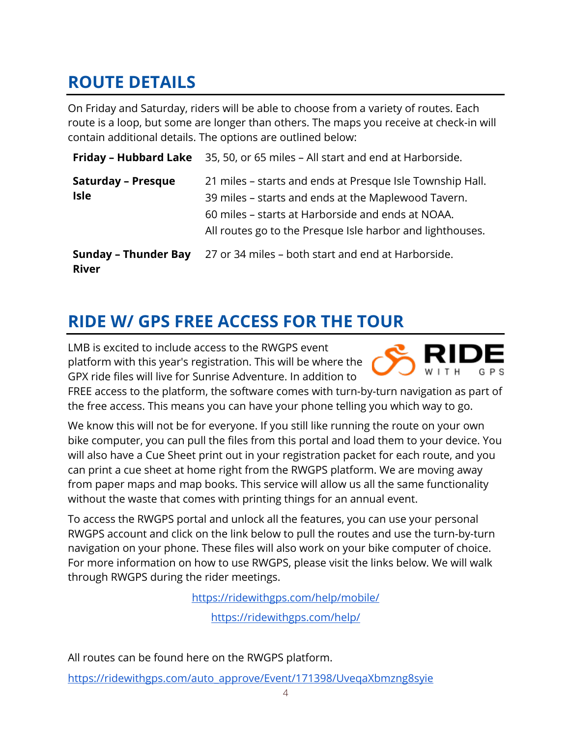# **ROUTE DETAILS**

On Friday and Saturday, riders will be able to choose from a variety of routes. Each route is a loop, but some are longer than others. The maps you receive at check-in will contain additional details. The options are outlined below:

|                                             | <b>Friday – Hubbard Lake</b> 35, 50, or 65 miles – All start and end at Harborside.                                                                                                                                                |
|---------------------------------------------|------------------------------------------------------------------------------------------------------------------------------------------------------------------------------------------------------------------------------------|
| <b>Saturday - Presque</b><br><b>Isle</b>    | 21 miles – starts and ends at Presque Isle Township Hall.<br>39 miles – starts and ends at the Maplewood Tavern.<br>60 miles – starts at Harborside and ends at NOAA.<br>All routes go to the Presque Isle harbor and lighthouses. |
| <b>Sunday - Thunder Bay</b><br><b>River</b> | 27 or 34 miles - both start and end at Harborside.                                                                                                                                                                                 |

# **RIDE W/ GPS FREE ACCESS FOR THE TOUR**

LMB is excited to include access to the RWGPS event platform with this year's registration. This will be where the GPX ride files will live for Sunrise Adventure. In addition to



FREE access to the platform, the software comes with turn-by-turn navigation as part of the free access. This means you can have your phone telling you which way to go.

We know this will not be for everyone. If you still like running the route on your own bike computer, you can pull the files from this portal and load them to your device. You will also have a Cue Sheet print out in your registration packet for each route, and you can print a cue sheet at home right from the RWGPS platform. We are moving away from paper maps and map books. This service will allow us all the same functionality without the waste that comes with printing things for an annual event.

To access the RWGPS portal and unlock all the features, you can use your personal RWGPS account and click on the link below to pull the routes and use the turn-by-turn navigation on your phone. These files will also work on your bike computer of choice. For more information on how to use RWGPS, please visit the links below. We will walk through RWGPS during the rider meetings.

https://ridewithgps.com/help/mobile/

https://ridewithgps.com/help/

All routes can be found here on the RWGPS platform.

https://ridewithgps.com/auto\_approve/Event/171398/UveqaXbmzng8syie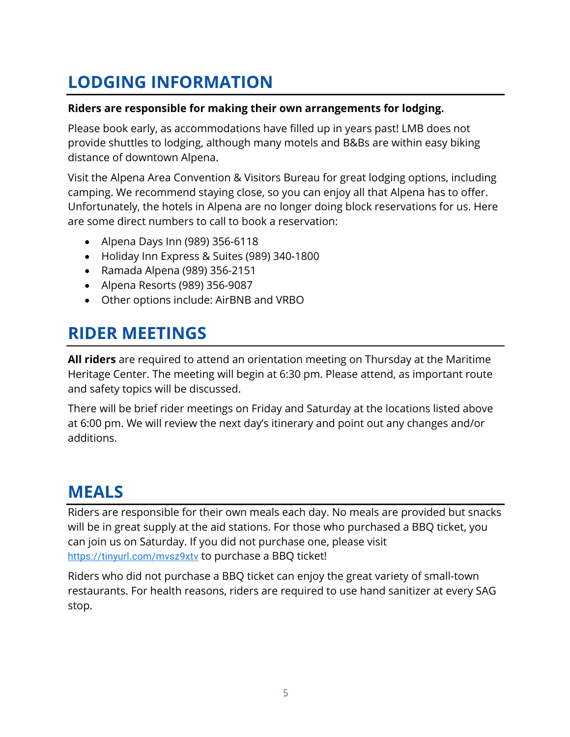# **LODGING INFORMATION**

### **Riders are responsible for making their own arrangements for lodging.**

Please book early, as accommodations have filled up in years past! LMB does not provide shuttles to lodging, although many motels and B&Bs are within easy biking distance of downtown Alpena.

Visit the Alpena Area Convention & Visitors Bureau for great lodging options, including camping. We recommend staying close, so you can enjoy all that Alpena has to offer. Unfortunately, the hotels in Alpena are no longer doing block reservations for us. Here are some direct numbers to call to book a reservation:

- Alpena Days Inn (989) 356-6118
- Holiday Inn Express & Suites (989) 340-1800
- Ramada Alpena (989) 356-2151
- Alpena Resorts (989) 356-9087
- Other options include: AirBNB and VRBO

# **RIDER MEETINGS**

**All riders** are required to attend an orientation meeting on Thursday at the Maritime Heritage Center. The meeting will begin at 6:30 pm. Please attend, as important route and safety topics will be discussed.

There will be brief rider meetings on Friday and Saturday at the locations listed above at 6:00 pm. We will review the next day's itinerary and point out any changes and/or additions.

# **MEALS**

Riders are responsible for their own meals each day. No meals are provided but snacks will be in great supply at the aid stations. For those who purchased a BBQ ticket, you can join us on Saturday. If you did not purchase one, please visit https://tinyurl.com/mvsz9xtv to purchase a BBQ ticket!

Riders who did not purchase a BBQ ticket can enjoy the great variety of small-town restaurants. For health reasons, riders are required to use hand sanitizer at every SAG stop.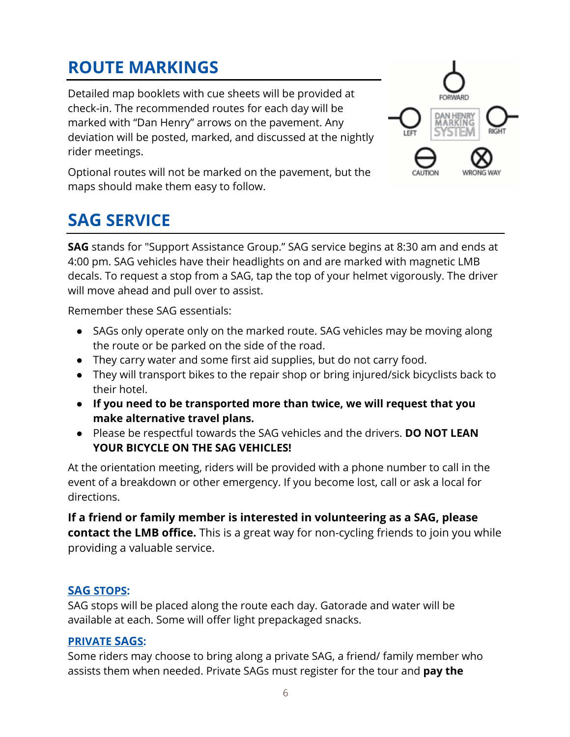# **ROUTE MARKINGS**

Detailed map booklets with cue sheets will be provided at check-in. The recommended routes for each day will be marked with "Dan Henry" arrows on the pavement. Any deviation will be posted, marked, and discussed at the nightly rider meetings.



Optional routes will not be marked on the pavement, but the maps should make them easy to follow.

# **SAG SERVICE**

**SAG** stands for "Support Assistance Group." SAG service begins at 8:30 am and ends at 4:00 pm. SAG vehicles have their headlights on and are marked with magnetic LMB decals. To request a stop from a SAG, tap the top of your helmet vigorously. The driver will move ahead and pull over to assist.

Remember these SAG essentials:

- SAGs only operate only on the marked route. SAG vehicles may be moving along the route or be parked on the side of the road.
- They carry water and some first aid supplies, but do not carry food.
- They will transport bikes to the repair shop or bring injured/sick bicyclists back to their hotel.
- **If you need to be transported more than twice, we will request that you make alternative travel plans.**
- Please be respectful towards the SAG vehicles and the drivers. **DO NOT LEAN**  YOUR BICYCLE ON THE SAG VEHICLES!

At the orientation meeting, riders will be provided with a phone number to call in the event of a breakdown or other emergency. If you become lost, call or ask a local for directions.

**If a friend or family member is interested in volunteering as a SAG, please contact the LMB office.** This is a great way for non-cycling friends to join you while providing a valuable service.

### **SAG STOPS:**

SAG stops will be placed along the route each day. Gatorade and water will be available at each. Some will offer light prepackaged snacks.

### **PRIVATE SAGS:**

Some riders may choose to bring along a private SAG, a friend/ family member who assists them when needed. Private SAGs must register for the tour and **pay the**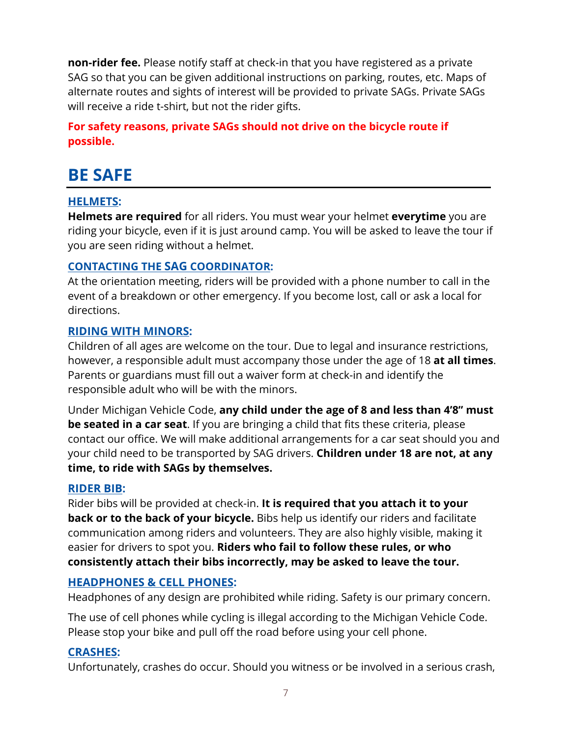**non-rider fee.** Please notify staff at check-in that you have registered as a private SAG so that you can be given additional instructions on parking, routes, etc. Maps of alternate routes and sights of interest will be provided to private SAGs. Private SAGs will receive a ride t-shirt, but not the rider gifts.

### **For safety reasons, private SAGs should not drive on the bicycle route if possible.**

# **BE SAFE**

### **HELMETS:**

**Helmets are required** for all riders. You must wear your helmet **everytime** you are riding your bicycle, even if it is just around camp. You will be asked to leave the tour if you are seen riding without a helmet.

### **CONTACTING THE SAG COORDINATOR:**

At the orientation meeting, riders will be provided with a phone number to call in the event of a breakdown or other emergency. If you become lost, call or ask a local for directions.

### **RIDING WITH MINORS:**

Children of all ages are welcome on the tour. Due to legal and insurance restrictions, however, a responsible adult must accompany those under the age of 18 **at all times**. Parents or guardians must fill out a waiver form at check-in and identify the responsible adult who will be with the minors.

Under Michigan Vehicle Code, **any child under the age of 8 and less than 4'8" must be seated in a car seat**. If you are bringing a child that fits these criteria, please contact our office. We will make additional arrangements for a car seat should you and your child need to be transported by SAG drivers. **Children under 18 are not, at any time, to ride with SAGs by themselves.**

### **RIDER BIB:**

Rider bibs will be provided at check-in. **It is required that you attach it to your back or to the back of your bicycle.** Bibs help us identify our riders and facilitate communication among riders and volunteers. They are also highly visible, making it easier for drivers to spot you. **Riders who fail to follow these rules, or who consistently attach their bibs incorrectly, may be asked to leave the tour.**

### **HEADPHONES & CELL PHONES:**

Headphones of any design are prohibited while riding. Safety is our primary concern.

The use of cell phones while cycling is illegal according to the Michigan Vehicle Code. Please stop your bike and pull off the road before using your cell phone.

### **CRASHES:**

Unfortunately, crashes do occur. Should you witness or be involved in a serious crash,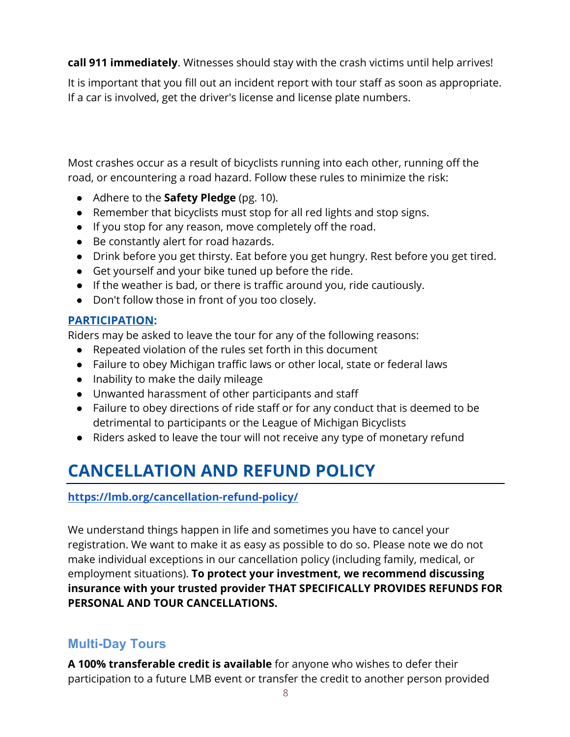**call 911 immediately**. Witnesses should stay with the crash victims until help arrives!

It is important that you fill out an incident report with tour staff as soon as appropriate. If a car is involved, get the driver's license and license plate numbers.

Most crashes occur as a result of bicyclists running into each other, running off the road, or encountering a road hazard. Follow these rules to minimize the risk:

- Adhere to the **Safety Pledge** (pg. 10).
- Remember that bicyclists must stop for all red lights and stop signs.
- If you stop for any reason, move completely off the road.
- Be constantly alert for road hazards.
- Drink before you get thirsty. Eat before you get hungry. Rest before you get tired.
- Get yourself and your bike tuned up before the ride.
- If the weather is bad, or there is traffic around you, ride cautiously.
- Don't follow those in front of you too closely.

### **PARTICIPATION:**

Riders may be asked to leave the tour for any of the following reasons:

- Repeated violation of the rules set forth in this document
- Failure to obey Michigan traffic laws or other local, state or federal laws
- Inability to make the daily mileage
- Unwanted harassment of other participants and staff
- Failure to obey directions of ride staff or for any conduct that is deemed to be detrimental to participants or the League of Michigan Bicyclists
- Riders asked to leave the tour will not receive any type of monetary refund

# **CANCELLATION AND REFUND POLICY**

### **https://lmb.org/cancellation-refund-policy/**

We understand things happen in life and sometimes you have to cancel your registration. We want to make it as easy as possible to do so. Please note we do not make individual exceptions in our cancellation policy (including family, medical, or employment situations). **To protect your investment, we recommend discussing insurance with your trusted provider THAT SPECIFICALLY PROVIDES REFUNDS FOR PERSONAL AND TOUR CANCELLATIONS.**

### **Multi-Day Tours**

**A 100% transferable credit is available** for anyone who wishes to defer their participation to a future LMB event or transfer the credit to another person provided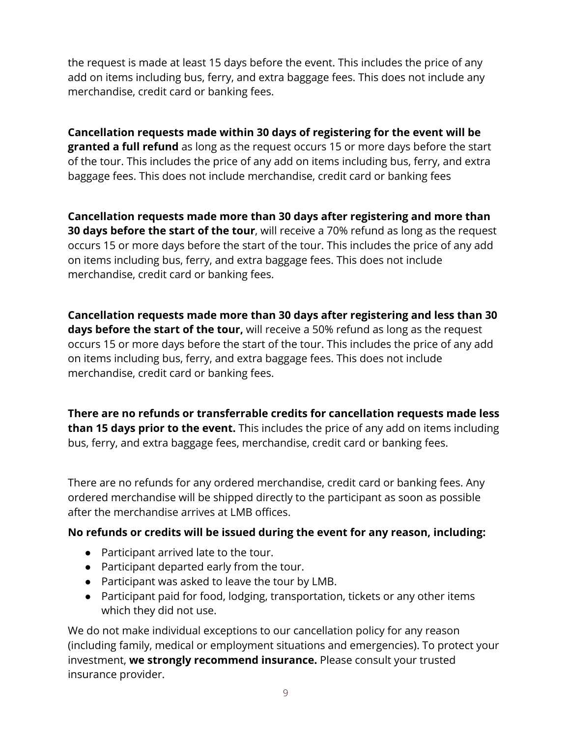the request is made at least 15 days before the event. This includes the price of any add on items including bus, ferry, and extra baggage fees. This does not include any merchandise, credit card or banking fees.

**Cancellation requests made within 30 days of registering for the event will be granted a full refund** as long as the request occurs 15 or more days before the start of the tour. This includes the price of any add on items including bus, ferry, and extra baggage fees. This does not include merchandise, credit card or banking fees

**Cancellation requests made more than 30 days after registering and more than 30 days before the start of the tour**, will receive a 70% refund as long as the request occurs 15 or more days before the start of the tour. This includes the price of any add on items including bus, ferry, and extra baggage fees. This does not include merchandise, credit card or banking fees.

**Cancellation requests made more than 30 days after registering and less than 30 days before the start of the tour,** will receive a 50% refund as long as the request occurs 15 or more days before the start of the tour. This includes the price of any add on items including bus, ferry, and extra baggage fees. This does not include merchandise, credit card or banking fees.

**There are no refunds or transferrable credits for cancellation requests made less than 15 days prior to the event.** This includes the price of any add on items including bus, ferry, and extra baggage fees, merchandise, credit card or banking fees.

There are no refunds for any ordered merchandise, credit card or banking fees. Any ordered merchandise will be shipped directly to the participant as soon as possible after the merchandise arrives at LMB offices.

### **No refunds or credits will be issued during the event for any reason, including:**

- Participant arrived late to the tour.
- Participant departed early from the tour.
- Participant was asked to leave the tour by LMB.
- Participant paid for food, lodging, transportation, tickets or any other items which they did not use.

We do not make individual exceptions to our cancellation policy for any reason (including family, medical or employment situations and emergencies). To protect your investment, **we strongly recommend insurance.** Please consult your trusted insurance provider.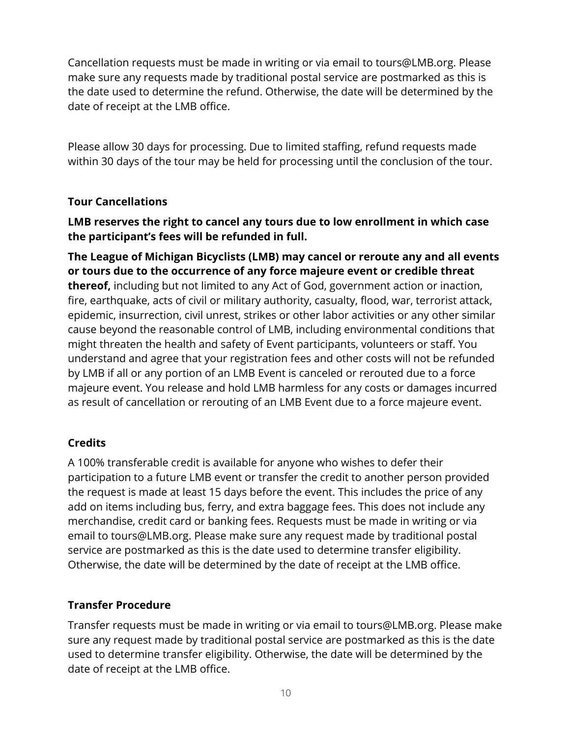Cancellation requests must be made in writing or via email to tours@LMB.org. Please make sure any requests made by traditional postal service are postmarked as this is the date used to determine the refund. Otherwise, the date will be determined by the date of receipt at the LMB office.

Please allow 30 days for processing. Due to limited staffing, refund requests made within 30 days of the tour may be held for processing until the conclusion of the tour.

### **Tour Cancellations**

**LMB reserves the right to cancel any tours due to low enrollment in which case the participant's fees will be refunded in full.**

**The League of Michigan Bicyclists (LMB) may cancel or reroute any and all events or tours due to the occurrence of any force majeure event or credible threat thereof,** including but not limited to any Act of God, government action or inaction, fire, earthquake, acts of civil or military authority, casualty, flood, war, terrorist attack, epidemic, insurrection, civil unrest, strikes or other labor activities or any other similar cause beyond the reasonable control of LMB, including environmental conditions that might threaten the health and safety of Event participants, volunteers or staff. You understand and agree that your registration fees and other costs will not be refunded by LMB if all or any portion of an LMB Event is canceled or rerouted due to a force majeure event. You release and hold LMB harmless for any costs or damages incurred as result of cancellation or rerouting of an LMB Event due to a force majeure event.

### **Credits**

A 100% transferable credit is available for anyone who wishes to defer their participation to a future LMB event or transfer the credit to another person provided the request is made at least 15 days before the event. This includes the price of any add on items including bus, ferry, and extra baggage fees. This does not include any merchandise, credit card or banking fees. Requests must be made in writing or via email to tours@LMB.org. Please make sure any request made by traditional postal service are postmarked as this is the date used to determine transfer eligibility. Otherwise, the date will be determined by the date of receipt at the LMB office.

### **Transfer Procedure**

Transfer requests must be made in writing or via email to tours@LMB.org. Please make sure any request made by traditional postal service are postmarked as this is the date used to determine transfer eligibility. Otherwise, the date will be determined by the date of receipt at the LMB office.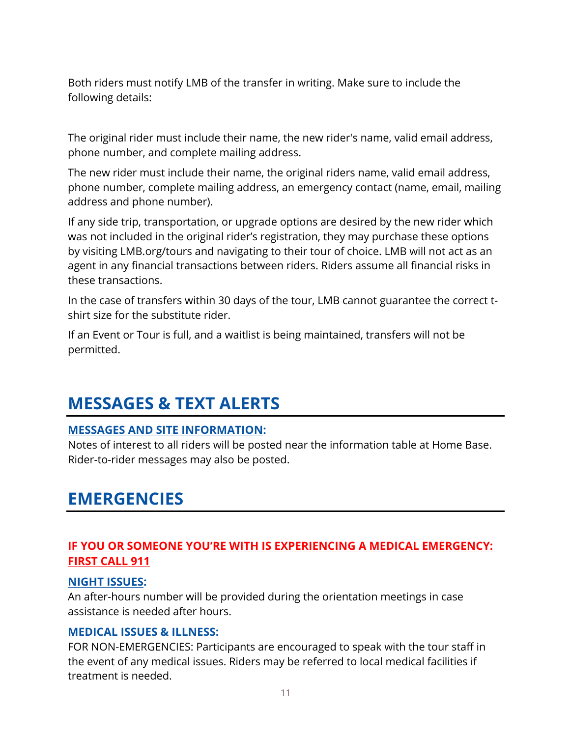Both riders must notify LMB of the transfer in writing. Make sure to include the following details:

The original rider must include their name, the new rider's name, valid email address, phone number, and complete mailing address.

The new rider must include their name, the original riders name, valid email address, phone number, complete mailing address, an emergency contact (name, email, mailing address and phone number).

If any side trip, transportation, or upgrade options are desired by the new rider which was not included in the original rider's registration, they may purchase these options by visiting LMB.org/tours and navigating to their tour of choice. LMB will not act as an agent in any financial transactions between riders. Riders assume all financial risks in these transactions.

In the case of transfers within 30 days of the tour, LMB cannot guarantee the correct tshirt size for the substitute rider.

If an Event or Tour is full, and a waitlist is being maintained, transfers will not be permitted.

# **MESSAGES & TEXT ALERTS**

### **MESSAGES AND SITE INFORMATION:**

Notes of interest to all riders will be posted near the information table at Home Base. Rider-to-rider messages may also be posted.

# **EMERGENCIES**

### **IF YOU OR SOMEONE YOU'RE WITH IS EXPERIENCING A MEDICAL EMERGENCY: FIRST CALL 911**

### **NIGHT ISSUES:**

An after-hours number will be provided during the orientation meetings in case assistance is needed after hours.

### **MEDICAL ISSUES & ILLNESS:**

FOR NON-EMERGENCIES: Participants are encouraged to speak with the tour staff in the event of any medical issues. Riders may be referred to local medical facilities if treatment is needed.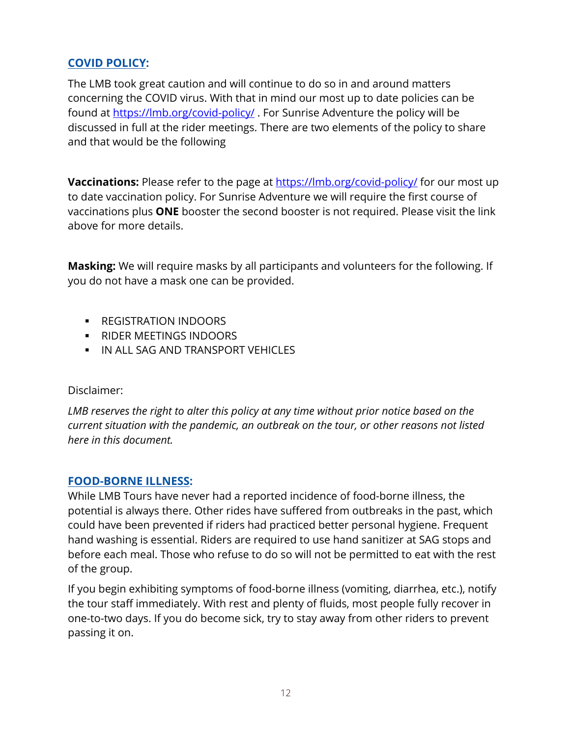### **COVID POLICY:**

The LMB took great caution and will continue to do so in and around matters concerning the COVID virus. With that in mind our most up to date policies can be found at https://lmb.org/covid-policy/ . For Sunrise Adventure the policy will be discussed in full at the rider meetings. There are two elements of the policy to share and that would be the following

**Vaccinations:** Please refer to the page at https://lmb.org/covid-policy/ for our most up to date vaccination policy. For Sunrise Adventure we will require the first course of vaccinations plus **ONE** booster the second booster is not required. Please visit the link above for more details.

**Masking:** We will require masks by all participants and volunteers for the following. If you do not have a mask one can be provided.

- REGISTRATION INDOORS
- RIDER MEETINGS INDOORS
- § IN ALL SAG AND TRANSPORT VEHICLES

### Disclaimer:

*LMB reserves the right to alter this policy at any time without prior notice based on the current situation with the pandemic, an outbreak on the tour, or other reasons not listed here in this document.* 

### **FOOD-BORNE ILLNESS:**

While LMB Tours have never had a reported incidence of food-borne illness, the potential is always there. Other rides have suffered from outbreaks in the past, which could have been prevented if riders had practiced better personal hygiene. Frequent hand washing is essential. Riders are required to use hand sanitizer at SAG stops and before each meal. Those who refuse to do so will not be permitted to eat with the rest of the group.

If you begin exhibiting symptoms of food-borne illness (vomiting, diarrhea, etc.), notify the tour staff immediately. With rest and plenty of fluids, most people fully recover in one-to-two days. If you do become sick, try to stay away from other riders to prevent passing it on.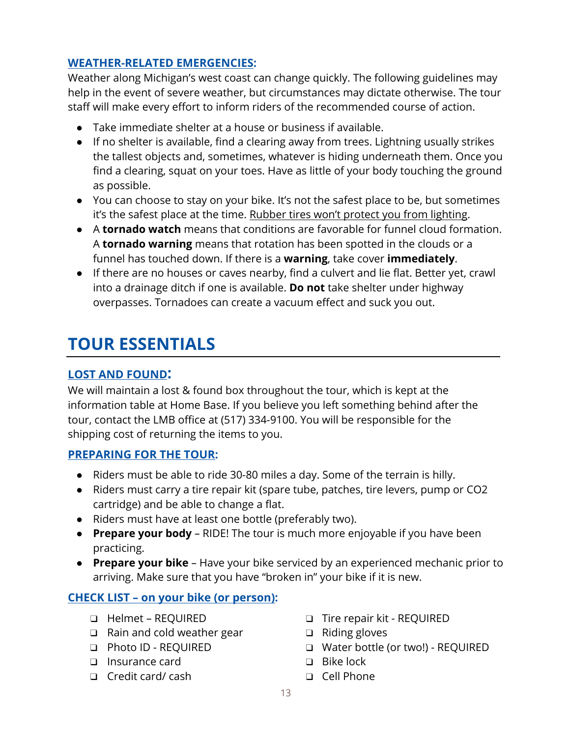### **WEATHER-RELATED EMERGENCIES:**

Weather along Michigan's west coast can change quickly. The following guidelines may help in the event of severe weather, but circumstances may dictate otherwise. The tour staff will make every effort to inform riders of the recommended course of action.

- Take immediate shelter at a house or business if available.
- If no shelter is available, find a clearing away from trees. Lightning usually strikes the tallest objects and, sometimes, whatever is hiding underneath them. Once you find a clearing, squat on your toes. Have as little of your body touching the ground as possible.
- You can choose to stay on your bike. It's not the safest place to be, but sometimes it's the safest place at the time. Rubber tires won't protect you from lighting.
- A **tornado watch** means that conditions are favorable for funnel cloud formation. A **tornado warning** means that rotation has been spotted in the clouds or a funnel has touched down. If there is a **warning**, take cover **immediately**.
- If there are no houses or caves nearby, find a culvert and lie flat. Better yet, crawl into a drainage ditch if one is available. **Do not** take shelter under highway overpasses. Tornadoes can create a vacuum effect and suck you out.

# **TOUR ESSENTIALS**

### **LOST AND FOUND:**

We will maintain a lost & found box throughout the tour, which is kept at the information table at Home Base. If you believe you left something behind after the tour, contact the LMB office at (517) 334-9100. You will be responsible for the shipping cost of returning the items to you.

### **PREPARING FOR THE TOUR:**

- Riders must be able to ride 30-80 miles a day. Some of the terrain is hilly.
- Riders must carry a tire repair kit (spare tube, patches, tire levers, pump or CO2 cartridge) and be able to change a flat.
- Riders must have at least one bottle (preferably two).
- **Prepare your body** RIDE! The tour is much more enjoyable if you have been practicing.
- **Prepare your bike** Have your bike serviced by an experienced mechanic prior to arriving. Make sure that you have "broken in" your bike if it is new.

### **CHECK LIST – on your bike (or person):**

- ❑ Helmet REQUIRED
- ❑ Rain and cold weather gear
- ❑ Photo ID REQUIRED
- ❑ Insurance card
- ❑ Credit card/ cash
- ❑ Tire repair kit REQUIRED
- ❑ Riding gloves
- ❑ Water bottle (or two!) REQUIRED
- ❑ Bike lock
- ❑ Cell Phone